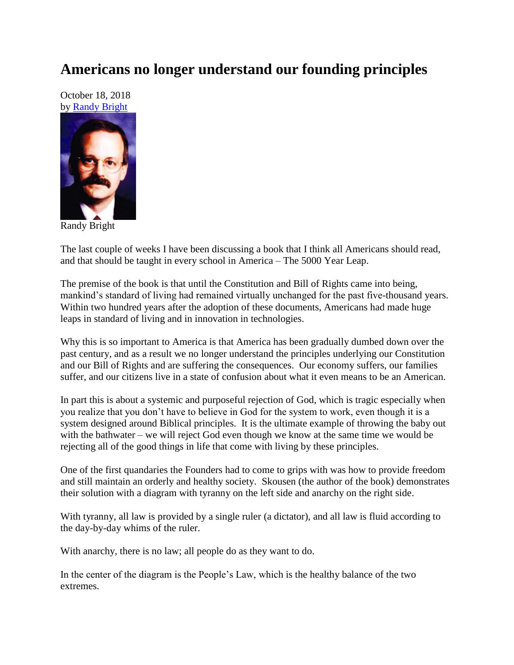## **Americans no longer understand our founding principles**

October 18, 2018 by [Randy Bright](http://tulsabeacon.com/writers/randy-bright/)



Randy Bright

The last couple of weeks I have been discussing a book that I think all Americans should read, and that should be taught in every school in America – The 5000 Year Leap.

The premise of the book is that until the Constitution and Bill of Rights came into being, mankind's standard of living had remained virtually unchanged for the past five-thousand years. Within two hundred years after the adoption of these documents, Americans had made huge leaps in standard of living and in innovation in technologies.

Why this is so important to America is that America has been gradually dumbed down over the past century, and as a result we no longer understand the principles underlying our Constitution and our Bill of Rights and are suffering the consequences. Our economy suffers, our families suffer, and our citizens live in a state of confusion about what it even means to be an American.

In part this is about a systemic and purposeful rejection of God, which is tragic especially when you realize that you don't have to believe in God for the system to work, even though it is a system designed around Biblical principles. It is the ultimate example of throwing the baby out with the bathwater – we will reject God even though we know at the same time we would be rejecting all of the good things in life that come with living by these principles.

One of the first quandaries the Founders had to come to grips with was how to provide freedom and still maintain an orderly and healthy society. Skousen (the author of the book) demonstrates their solution with a diagram with tyranny on the left side and anarchy on the right side.

With tyranny, all law is provided by a single ruler (a dictator), and all law is fluid according to the day-by-day whims of the ruler.

With anarchy, there is no law; all people do as they want to do.

In the center of the diagram is the People's Law, which is the healthy balance of the two extremes.